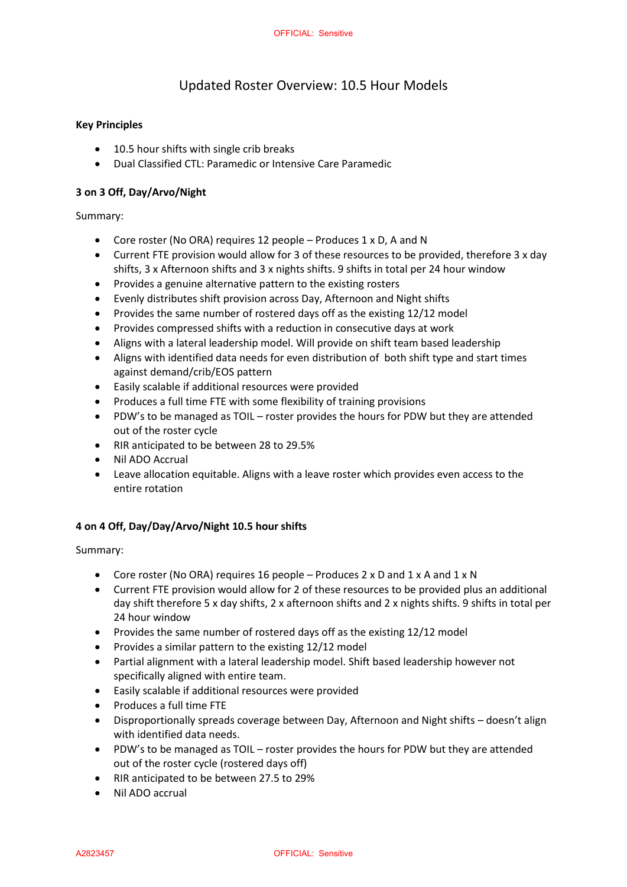# Updated Roster Overview: 10.5 Hour Models

### **Key Principles**

- 10.5 hour shifts with single crib breaks
- Dual Classified CTL: Paramedic or Intensive Care Paramedic

#### **3 on 3 Off, Day/Arvo/Night**

Summary:

- Core roster (No ORA) requires 12 people Produces 1 x D, A and N
- Current FTE provision would allow for 3 of these resources to be provided, therefore 3 x day shifts, 3 x Afternoon shifts and 3 x nights shifts. 9 shifts in total per 24 hour window
- Provides a genuine alternative pattern to the existing rosters
- Evenly distributes shift provision across Day, Afternoon and Night shifts
- Provides the same number of rostered days off as the existing 12/12 model
- Provides compressed shifts with a reduction in consecutive days at work
- Aligns with a lateral leadership model. Will provide on shift team based leadership
- Aligns with identified data needs for even distribution of both shift type and start times against demand/crib/EOS pattern
- Easily scalable if additional resources were provided
- Produces a full time FTE with some flexibility of training provisions
- PDW's to be managed as TOIL roster provides the hours for PDW but they are attended out of the roster cycle
- RIR anticipated to be between 28 to 29.5%
- Nil ADO Accrual
- Leave allocation equitable. Aligns with a leave roster which provides even access to the entire rotation

#### **4 on 4 Off, Day/Day/Arvo/Night 10.5 hour shifts**

Summary:

- Core roster (No ORA) requires 16 people Produces 2 x D and 1 x A and 1 x N
- Current FTE provision would allow for 2 of these resources to be provided plus an additional day shift therefore 5 x day shifts, 2 x afternoon shifts and 2 x nights shifts. 9 shifts in total per 24 hour window
- Provides the same number of rostered days off as the existing 12/12 model
- Provides a similar pattern to the existing 12/12 model
- Partial alignment with a lateral leadership model. Shift based leadership however not specifically aligned with entire team.
- Easily scalable if additional resources were provided
- Produces a full time FTE
- Disproportionally spreads coverage between Day, Afternoon and Night shifts doesn't align with identified data needs.
- PDW's to be managed as TOIL roster provides the hours for PDW but they are attended out of the roster cycle (rostered days off)
- RIR anticipated to be between 27.5 to 29%
- Nil ADO accrual